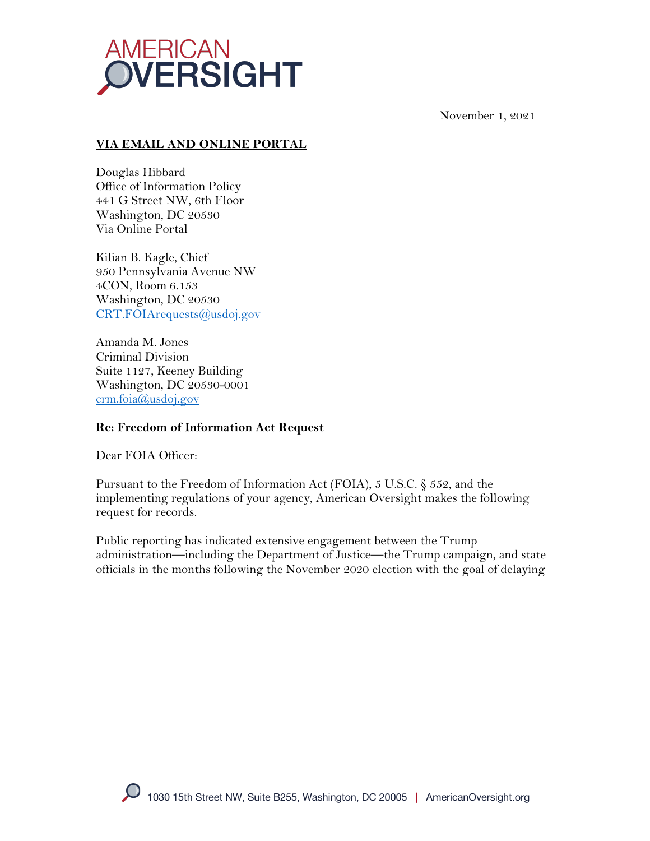

November 1, 2021

## **VIA EMAIL AND ONLINE PORTAL**

Douglas Hibbard Office of Information Policy 441 G Street NW, 6th Floor Washington, DC 20530 Via Online Portal

Kilian B. Kagle, Chief 950 Pennsylvania Avenue NW 4CON, Room 6.153 Washington, DC 20530 CRT.FOIArequests@usdoj.gov

Amanda M. Jones Criminal Division Suite 1127, Keeney Building Washington, DC 20530-0001 crm.foia@usdoj.gov

### **Re: Freedom of Information Act Request**

Dear FOIA Officer:

Pursuant to the Freedom of Information Act (FOIA), 5 U.S.C. § 552, and the implementing regulations of your agency, American Oversight makes the following request for records.

Public reporting has indicated extensive engagement between the Trump administration—including the Department of Justice—the Trump campaign, and state officials in the months following the November 2020 election with the goal of delaying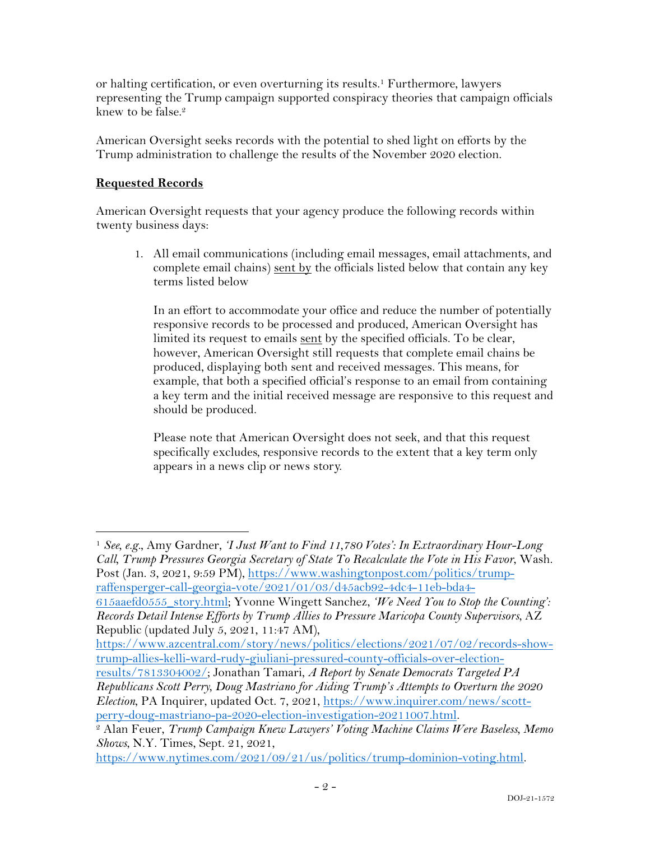or halting certification, or even overturning its results.1 Furthermore, lawyers representing the Trump campaign supported conspiracy theories that campaign officials knew to be false.<sup>2</sup>

American Oversight seeks records with the potential to shed light on efforts by the Trump administration to challenge the results of the November 2020 election.

## **Requested Records**

American Oversight requests that your agency produce the following records within twenty business days:

1. All email communications (including email messages, email attachments, and complete email chains) sent by the officials listed below that contain any key terms listed below

In an effort to accommodate your office and reduce the number of potentially responsive records to be processed and produced, American Oversight has limited its request to emails sent by the specified officials. To be clear, however, American Oversight still requests that complete email chains be produced, displaying both sent and received messages. This means, for example, that both a specified official's response to an email from containing a key term and the initial received message are responsive to this request and should be produced.

Please note that American Oversight does not seek, and that this request specifically excludes, responsive records to the extent that a key term only appears in a news clip or news story.

<sup>1</sup> *See, e.g.*, Amy Gardner, *'I Just Want to Find 11,780 Votes': In Extraordinary Hour-Long Call, Trump Pressures Georgia Secretary of State To Recalculate the Vote in His Favor*, Wash. Post (Jan. 3, 2021, 9:59 PM), https://www.washingtonpost.com/politics/trumpraffensperger-call-georgia-vote/2021/01/03/d45acb92-4dc4-11eb-bda4-

615aaefd0555\_story.html; Yvonne Wingett Sanchez, *'We Need You to Stop the Counting': Records Detail Intense Efforts by Trump Allies to Pressure Maricopa County Supervisors*, AZ Republic (updated July 5, 2021, 11:47 AM),

https://www.azcentral.com/story/news/politics/elections/2021/07/02/records-showtrump-allies-kelli-ward-rudy-giuliani-pressured-county-officials-over-election-

results/7813304002/; Jonathan Tamari, *A Report by Senate Democrats Targeted PA Republicans Scott Perry, Doug Mastriano for Aiding Trump's Attempts to Overturn the 2020 Election*, PA Inquirer, updated Oct. 7, 2021, https://www.inquirer.com/news/scott-

https://www.nytimes.com/2021/09/21/us/politics/trump-dominion-voting.html.

perry-doug-mastriano-pa-2020-election-investigation-20211007.html. 2 Alan Feuer, *Trump Campaign Knew Lawyers' Voting Machine Claims Were Baseless, Memo Shows*, N.Y. Times, Sept. 21, 2021,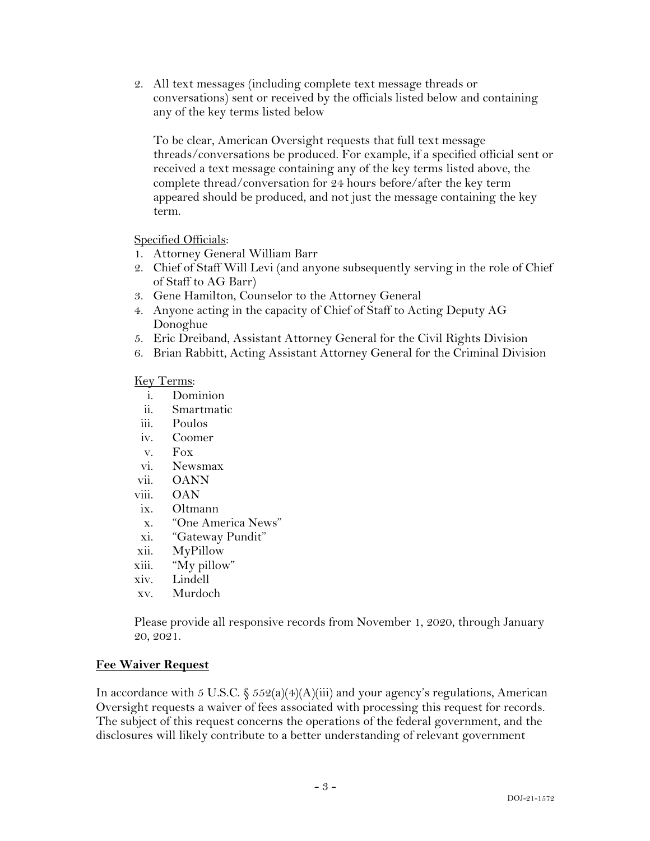2. All text messages (including complete text message threads or conversations) sent or received by the officials listed below and containing any of the key terms listed below

To be clear, American Oversight requests that full text message threads/conversations be produced. For example, if a specified official sent or received a text message containing any of the key terms listed above, the complete thread/conversation for 24 hours before/after the key term appeared should be produced, and not just the message containing the key term.

Specified Officials:

- 1. Attorney General William Barr
- 2. Chief of Staff Will Levi (and anyone subsequently serving in the role of Chief of Staff to AG Barr)
- 3. Gene Hamilton, Counselor to the Attorney General
- 4. Anyone acting in the capacity of Chief of Staff to Acting Deputy AG Donoghue
- 5. Eric Dreiband, Assistant Attorney General for the Civil Rights Division
- 6. Brian Rabbitt, Acting Assistant Attorney General for the Criminal Division

#### Key Terms:

- i. Dominion<br>ii. Smartmati
- Smartmatic
- iii. Poulos
- iv. Coomer
- v. Fox
- vi. Newsmax
- vii. OANN
- viii. OAN
- ix. Oltmann
- x. "One America News"
- xi. "Gateway Pundit"
- xii. MyPillow
- xiii. "My pillow"
- xiv. Lindell
- xv. Murdoch

Please provide all responsive records from November 1, 2020, through January 20, 2021.

### **Fee Waiver Request**

In accordance with 5 U.S.C.  $\S 552(a)(4)(A)(iii)$  and your agency's regulations, American Oversight requests a waiver of fees associated with processing this request for records. The subject of this request concerns the operations of the federal government, and the disclosures will likely contribute to a better understanding of relevant government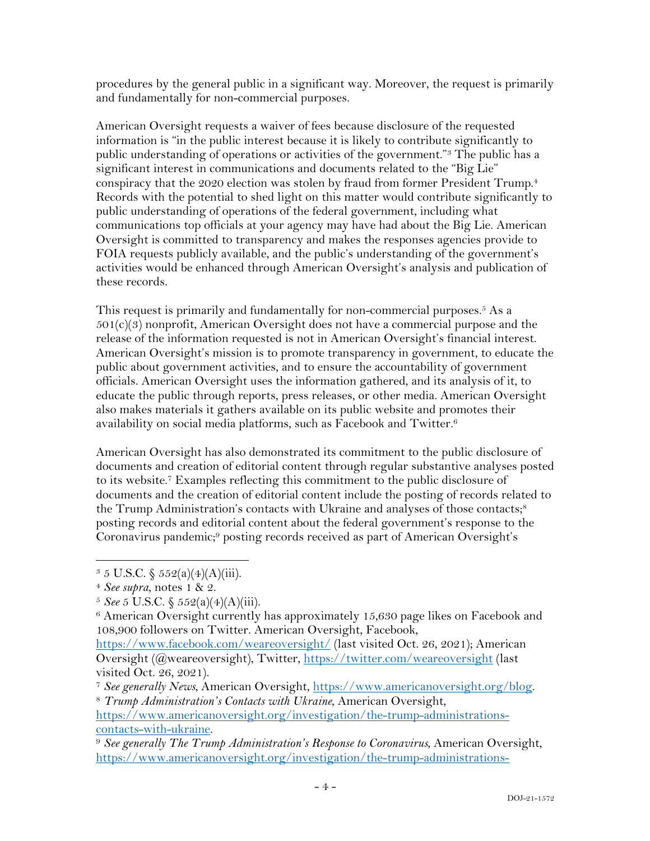procedures by the general public in a significant way. Moreover, the request is primarily and fundamentally for non-commercial purposes.

American Oversight requests a waiver of fees because disclosure of the requested information is "in the public interest because it is likely to contribute significantly to public understanding of operations or activities of the government."3 The public has a significant interest in communications and documents related to the "Big Lie" conspiracy that the 2020 election was stolen by fraud from former President Trump.4 Records with the potential to shed light on this matter would contribute significantly to public understanding of operations of the federal government, including what communications top officials at your agency may have had about the Big Lie. American Oversight is committed to transparency and makes the responses agencies provide to FOIA requests publicly available, and the public's understanding of the government's activities would be enhanced through American Oversight's analysis and publication of these records.

This request is primarily and fundamentally for non-commercial purposes.<sup>5</sup> As a  $501(c)(3)$  nonprofit, American Oversight does not have a commercial purpose and the release of the information requested is not in American Oversight's financial interest. American Oversight's mission is to promote transparency in government, to educate the public about government activities, and to ensure the accountability of government officials. American Oversight uses the information gathered, and its analysis of it, to educate the public through reports, press releases, or other media. American Oversight also makes materials it gathers available on its public website and promotes their availability on social media platforms, such as Facebook and Twitter.6

American Oversight has also demonstrated its commitment to the public disclosure of documents and creation of editorial content through regular substantive analyses posted to its website.7 Examples reflecting this commitment to the public disclosure of documents and the creation of editorial content include the posting of records related to the Trump Administration's contacts with Ukraine and analyses of those contacts;<sup>8</sup> posting records and editorial content about the federal government's response to the Coronavirus pandemic;<sup>9</sup> posting records received as part of American Oversight's

 $3 \, 5 \,$  U.S.C.  $\frac{5 \, 5 \, 2(a)(4)(A)(iii)}{2a}$ .

<sup>4</sup> *See supra*, notes 1 & 2.

<sup>5</sup> *See* 5 U.S.C. § 552(a)(4)(A)(iii).

<sup>&</sup>lt;sup>6</sup> American Oversight currently has approximately 15,630 page likes on Facebook and 108,900 followers on Twitter. American Oversight, Facebook,

https://www.facebook.com/weareoversight/ (last visited Oct. 26, 2021); American Oversight (@weareoversight), Twitter, https://twitter.com/weareoversight (last visited Oct. 26, 2021).

<sup>7</sup> *See generally News*, American Oversight, https://www.americanoversight.org/blog. 8 *Trump Administration's Contacts with Ukraine*, American Oversight,

https://www.americanoversight.org/investigation/the-trump-administrationscontacts-with-ukraine.

<sup>9</sup> *See generally The Trump Administration's Response to Coronavirus*, American Oversight, https://www.americanoversight.org/investigation/the-trump-administrations-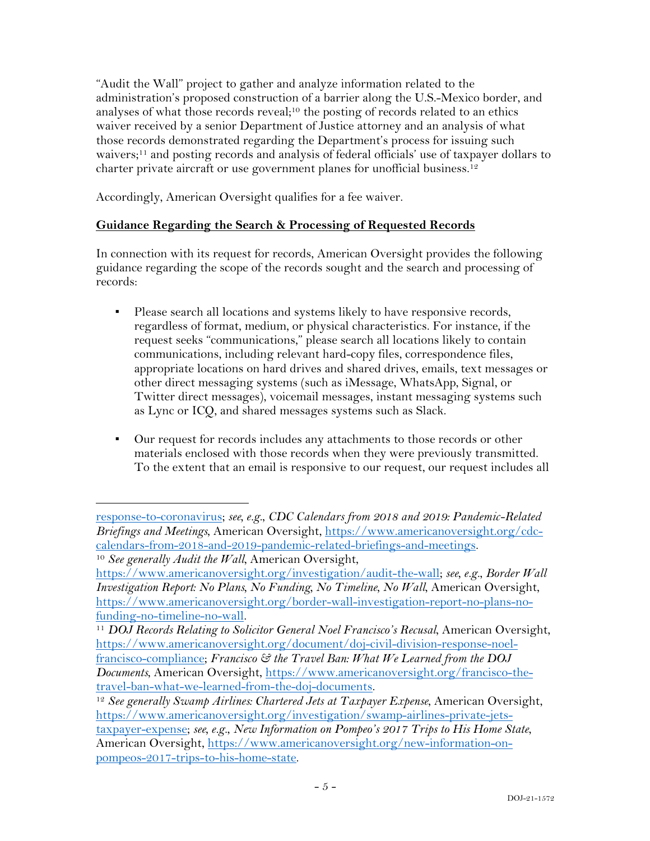"Audit the Wall" project to gather and analyze information related to the administration's proposed construction of a barrier along the U.S.-Mexico border, and analyses of what those records reveal;<sup>10</sup> the posting of records related to an ethics waiver received by a senior Department of Justice attorney and an analysis of what those records demonstrated regarding the Department's process for issuing such waivers;11 and posting records and analysis of federal officials' use of taxpayer dollars to charter private aircraft or use government planes for unofficial business. 12

Accordingly, American Oversight qualifies for a fee waiver.

# **Guidance Regarding the Search & Processing of Requested Records**

In connection with its request for records, American Oversight provides the following guidance regarding the scope of the records sought and the search and processing of records:

- Please search all locations and systems likely to have responsive records, regardless of format, medium, or physical characteristics. For instance, if the request seeks "communications," please search all locations likely to contain communications, including relevant hard-copy files, correspondence files, appropriate locations on hard drives and shared drives, emails, text messages or other direct messaging systems (such as iMessage, WhatsApp, Signal, or Twitter direct messages), voicemail messages, instant messaging systems such as Lync or ICQ, and shared messages systems such as Slack.
- Our request for records includes any attachments to those records or other materials enclosed with those records when they were previously transmitted. To the extent that an email is responsive to our request, our request includes all

response-to-coronavirus; *see, e.g.*, *CDC Calendars from 2018 and 2019: Pandemic-Related Briefings and Meetings*, American Oversight, https://www.americanoversight.org/cdccalendars-from-2018-and-2019-pandemic-related-briefings-and-meetings. <sup>10</sup> *See generally Audit the Wall*, American Oversight,

https://www.americanoversight.org/investigation/audit-the-wall; *see, e.g.*, *Border Wall Investigation Report: No Plans, No Funding, No Timeline, No Wall*, American Oversight, https://www.americanoversight.org/border-wall-investigation-report-no-plans-no-

funding-no-timeline-no-wall. 11 *DOJ Records Relating to Solicitor General Noel Francisco's Recusal*, American Oversight, https://www.americanoversight.org/document/doj-civil-division-response-noelfrancisco-compliance; *Francisco & the Travel Ban: What We Learned from the DOJ Documents*, American Oversight, https://www.americanoversight.org/francisco-thetravel-ban-what-we-learned-from-the-doj-documents.

<sup>&</sup>lt;sup>12</sup> See generally Swamp Airlines: Chartered Jets at Taxpayer Expense, American Oversight, https://www.americanoversight.org/investigation/swamp-airlines-private-jetstaxpayer-expense; *see, e.g.*, *New Information on Pompeo's 2017 Trips to His Home State*, American Oversight, https://www.americanoversight.org/new-information-onpompeos-2017-trips-to-his-home-state.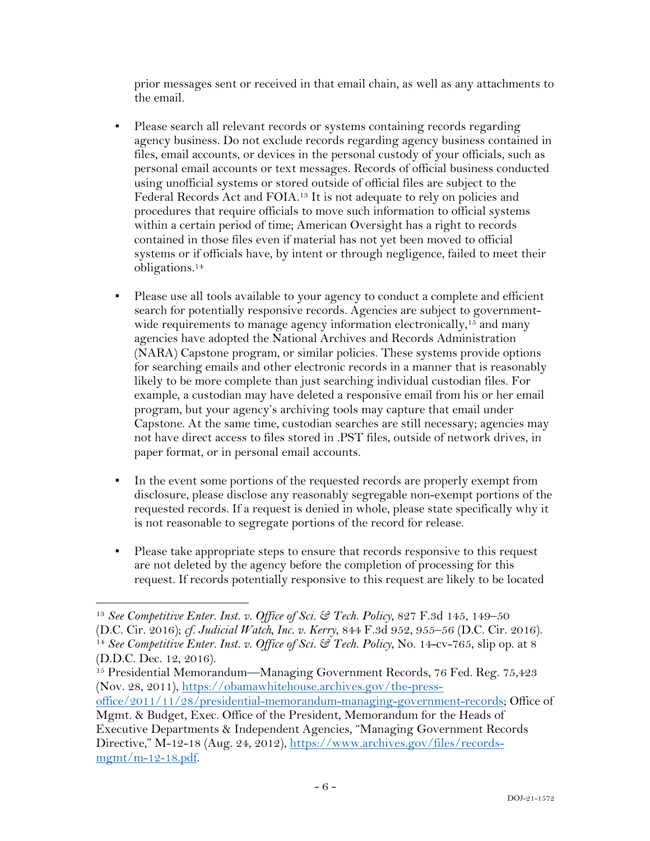prior messages sent or received in that email chain, as well as any attachments to the email.

- Please search all relevant records or systems containing records regarding agency business. Do not exclude records regarding agency business contained in files, email accounts, or devices in the personal custody of your officials, such as personal email accounts or text messages. Records of official business conducted using unofficial systems or stored outside of official files are subject to the Federal Records Act and FOIA.13 It is not adequate to rely on policies and procedures that require officials to move such information to official systems within a certain period of time; American Oversight has a right to records contained in those files even if material has not yet been moved to official systems or if officials have, by intent or through negligence, failed to meet their obligations.14
- Please use all tools available to your agency to conduct a complete and efficient search for potentially responsive records. Agencies are subject to governmentwide requirements to manage agency information electronically,<sup>15</sup> and many agencies have adopted the National Archives and Records Administration (NARA) Capstone program, or similar policies. These systems provide options for searching emails and other electronic records in a manner that is reasonably likely to be more complete than just searching individual custodian files. For example, a custodian may have deleted a responsive email from his or her email program, but your agency's archiving tools may capture that email under Capstone. At the same time, custodian searches are still necessary; agencies may not have direct access to files stored in .PST files, outside of network drives, in paper format, or in personal email accounts.
- In the event some portions of the requested records are properly exempt from disclosure, please disclose any reasonably segregable non-exempt portions of the requested records. If a request is denied in whole, please state specifically why it is not reasonable to segregate portions of the record for release.
- Please take appropriate steps to ensure that records responsive to this request are not deleted by the agency before the completion of processing for this request. If records potentially responsive to this request are likely to be located

<sup>13</sup> *See Competitive Enter. Inst. v. Office of Sci. & Tech. Policy*, 827 F.3d 145, 149–50 (D.C. Cir. 2016); *cf. Judicial Watch, Inc. v. Kerry*, 844 F.3d 952, 955–56 (D.C. Cir. 2016). 14 *See Competitive Enter. Inst. v. Office of Sci. & Tech. Policy*, No. 14-cv-765, slip op. at 8 (D.D.C. Dec. 12, 2016).

<sup>&</sup>lt;sup>15</sup> Presidential Memorandum—Managing Government Records, 76 Fed. Reg. 75,423 (Nov. 28, 2011), https://obamawhitehouse.archives.gov/the-press-

office/2011/11/28/presidential-memorandum-managing-government-records; Office of Mgmt. & Budget, Exec. Office of the President, Memorandum for the Heads of

Executive Departments & Independent Agencies, "Managing Government Records Directive," M-12-18 (Aug. 24, 2012), https://www.archives.gov/files/records $m$ gmt/m-12-18.pdf